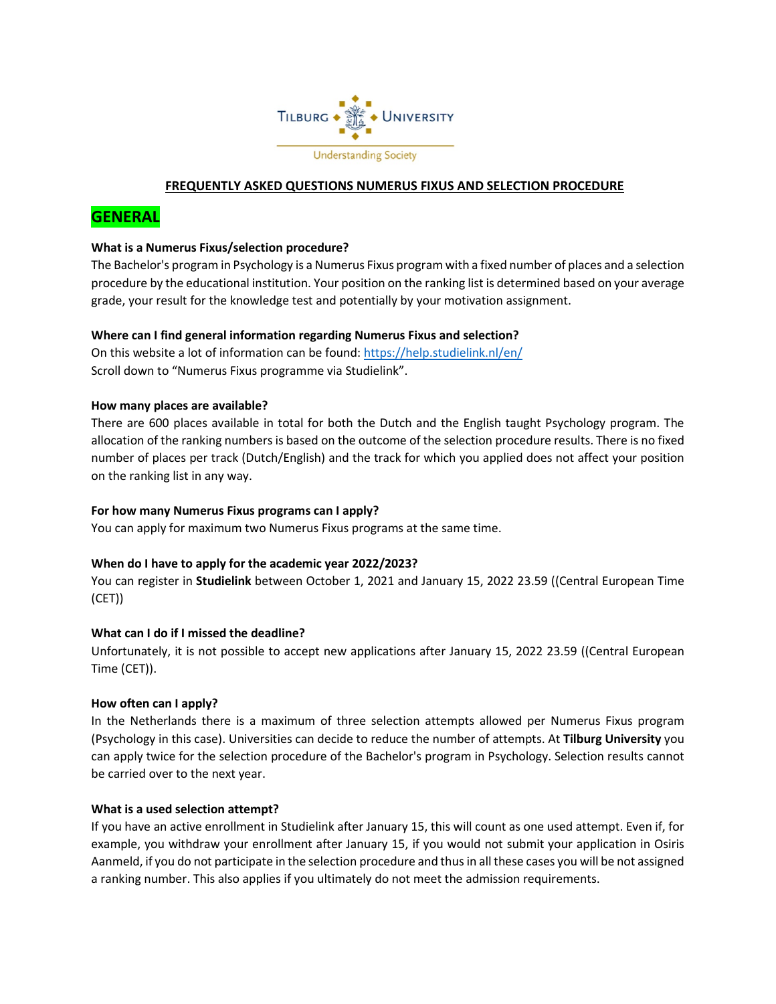

# **FREQUENTLY ASKED QUESTIONS NUMERUS FIXUS AND SELECTION PROCEDURE**

# **GENERAL**

#### **What is a Numerus Fixus/selection procedure?**

The Bachelor's program in Psychology is a Numerus Fixus program with a fixed number of places and a selection procedure by the educational institution. Your position on the ranking list is determined based on your average grade, your result for the knowledge test and potentially by your motivation assignment.

#### **Where can I find general information regarding Numerus Fixus and selection?**

On this website a lot of information can be found:<https://help.studielink.nl/en/> Scroll down to "Numerus Fixus programme via Studielink".

#### **How many places are available?**

There are 600 places available in total for both the Dutch and the English taught Psychology program. The allocation of the ranking numbers is based on the outcome of the selection procedure results. There is no fixed number of places per track (Dutch/English) and the track for which you applied does not affect your position on the ranking list in any way.

### **For how many Numerus Fixus programs can I apply?**

You can apply for maximum two Numerus Fixus programs at the same time.

### **When do I have to apply for the academic year 2022/2023?**

You can register in **Studielink** between October 1, 2021 and January 15, 2022 23.59 ((Central European Time (CET))

#### **What can I do if I missed the deadline?**

Unfortunately, it is not possible to accept new applications after January 15, 2022 23.59 ((Central European Time (CET)).

#### **How often can I apply?**

In the Netherlands there is a maximum of three selection attempts allowed per Numerus Fixus program (Psychology in this case). Universities can decide to reduce the number of attempts. At **Tilburg University** you can apply twice for the selection procedure of the Bachelor's program in Psychology. Selection results cannot be carried over to the next year.

### **What is a used selection attempt?**

If you have an active enrollment in Studielink after January 15, this will count as one used attempt. Even if, for example, you withdraw your enrollment after January 15, if you would not submit your application in Osiris Aanmeld, if you do not participate in the selection procedure and thus in all these cases you will be not assigned a ranking number. This also applies if you ultimately do not meet the admission requirements.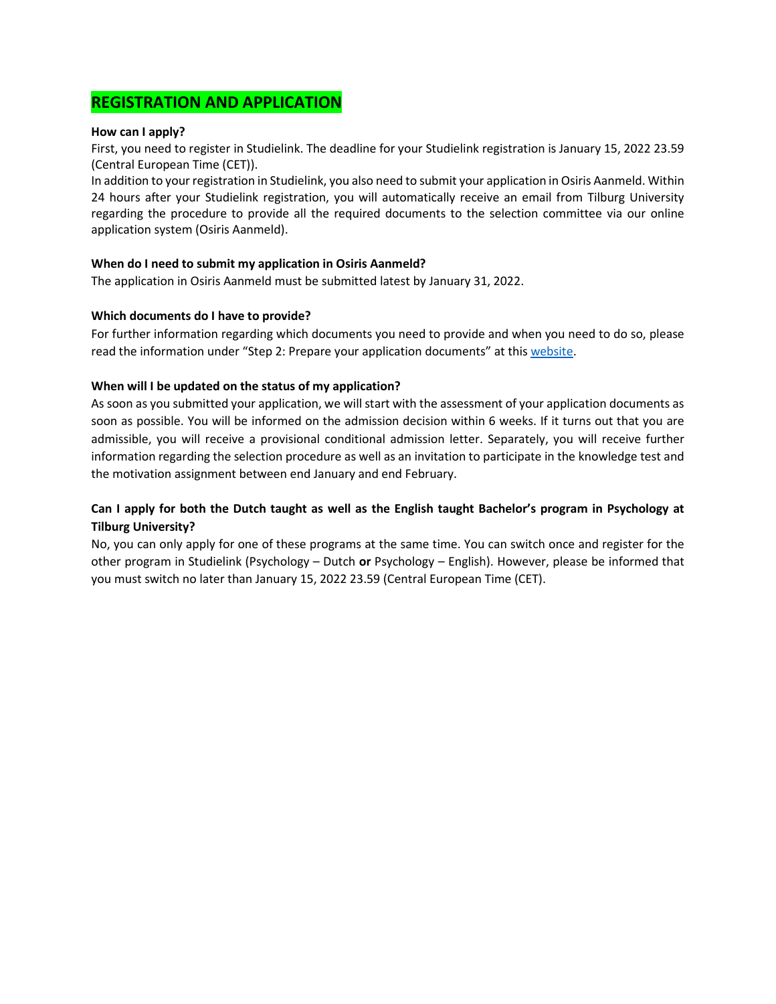# **REGISTRATION AND APPLICATION**

### **How can I apply?**

First, you need to register in Studielink. The deadline for your Studielink registration is January 15, 2022 23.59 (Central European Time (CET)).

In addition to your registration in Studielink, you also need to submit your application in Osiris Aanmeld. Within 24 hours after your Studielink registration, you will automatically receive an email from Tilburg University regarding the procedure to provide all the required documents to the selection committee via our online application system (Osiris Aanmeld).

# **When do I need to submit my application in Osiris Aanmeld?**

The application in Osiris Aanmeld must be submitted latest by January 31, 2022.

# **Which documents do I have to provide?**

For further information regarding which documents you need to provide and when you need to do so, please read the information under "Step 2: Prepare your application documents" at this [website.](https://www.tilburguniversity.edu/education/bachelors-programs/psychology/application)

# **When will I be updated on the status of my application?**

As soon as you submitted your application, we will start with the assessment of your application documents as soon as possible. You will be informed on the admission decision within 6 weeks. If it turns out that you are admissible, you will receive a provisional conditional admission letter. Separately, you will receive further information regarding the selection procedure as well as an invitation to participate in the knowledge test and the motivation assignment between end January and end February.

# **Can I apply for both the Dutch taught as well as the English taught Bachelor's program in Psychology at Tilburg University?**

No, you can only apply for one of these programs at the same time. You can switch once and register for the other program in Studielink (Psychology – Dutch **or** Psychology – English). However, please be informed that you must switch no later than January 15, 2022 23.59 (Central European Time (CET).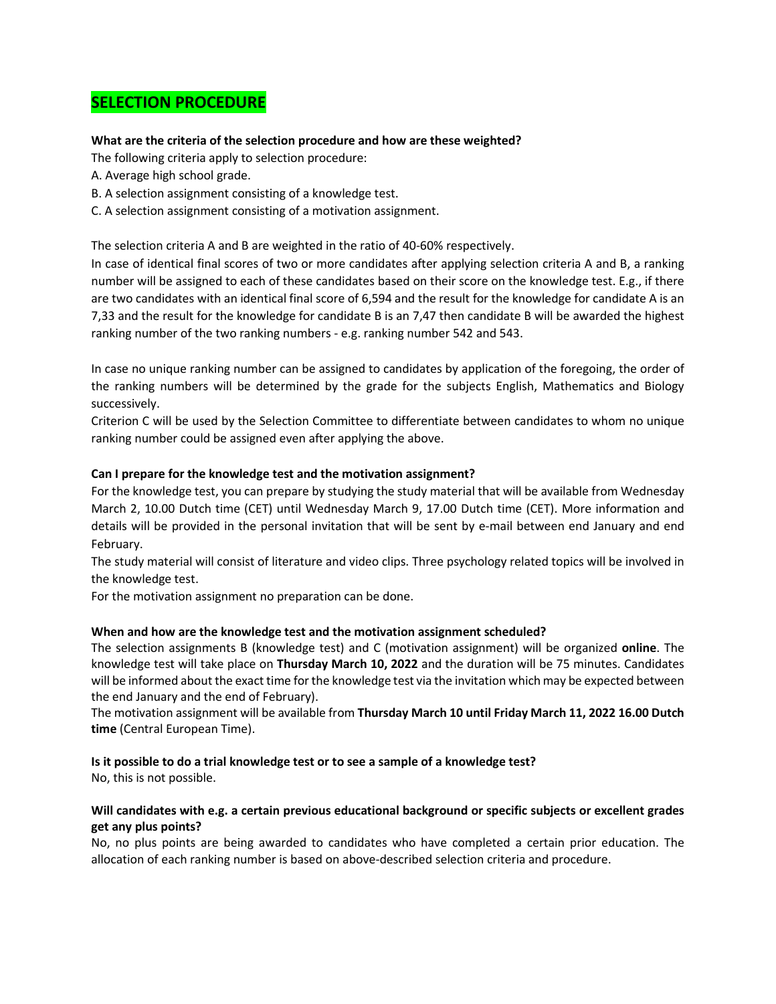# **SELECTION PROCEDURE**

# **What are the criteria of the selection procedure and how are these weighted?**

The following criteria apply to selection procedure:

- A. Average high school grade.
- B. A selection assignment consisting of a knowledge test.
- C. A selection assignment consisting of a motivation assignment.

The selection criteria A and B are weighted in the ratio of 40-60% respectively.

In case of identical final scores of two or more candidates after applying selection criteria A and B, a ranking number will be assigned to each of these candidates based on their score on the knowledge test. E.g., if there are two candidates with an identical final score of 6,594 and the result for the knowledge for candidate A is an 7,33 and the result for the knowledge for candidate B is an 7,47 then candidate B will be awarded the highest ranking number of the two ranking numbers - e.g. ranking number 542 and 543.

In case no unique ranking number can be assigned to candidates by application of the foregoing, the order of the ranking numbers will be determined by the grade for the subjects English, Mathematics and Biology successively.

Criterion C will be used by the Selection Committee to differentiate between candidates to whom no unique ranking number could be assigned even after applying the above.

# **Can I prepare for the knowledge test and the motivation assignment?**

For the knowledge test, you can prepare by studying the study material that will be available from Wednesday March 2, 10.00 Dutch time (CET) until Wednesday March 9, 17.00 Dutch time (CET). More information and details will be provided in the personal invitation that will be sent by e-mail between end January and end February.

The study material will consist of literature and video clips. Three psychology related topics will be involved in the knowledge test.

For the motivation assignment no preparation can be done.

### **When and how are the knowledge test and the motivation assignment scheduled?**

The selection assignments B (knowledge test) and C (motivation assignment) will be organized **online**. The knowledge test will take place on **Thursday March 10, 2022** and the duration will be 75 minutes. Candidates will be informed about the exact time for the knowledge test via the invitation which may be expected between the end January and the end of February).

The motivation assignment will be available from **Thursday March 10 until Friday March 11, 2022 16.00 Dutch time** (Central European Time).

### **Is it possible to do a trial knowledge test or to see a sample of a knowledge test?**

No, this is not possible.

# **Will candidates with e.g. a certain previous educational background or specific subjects or excellent grades get any plus points?**

No, no plus points are being awarded to candidates who have completed a certain prior education. The allocation of each ranking number is based on above-described selection criteria and procedure.